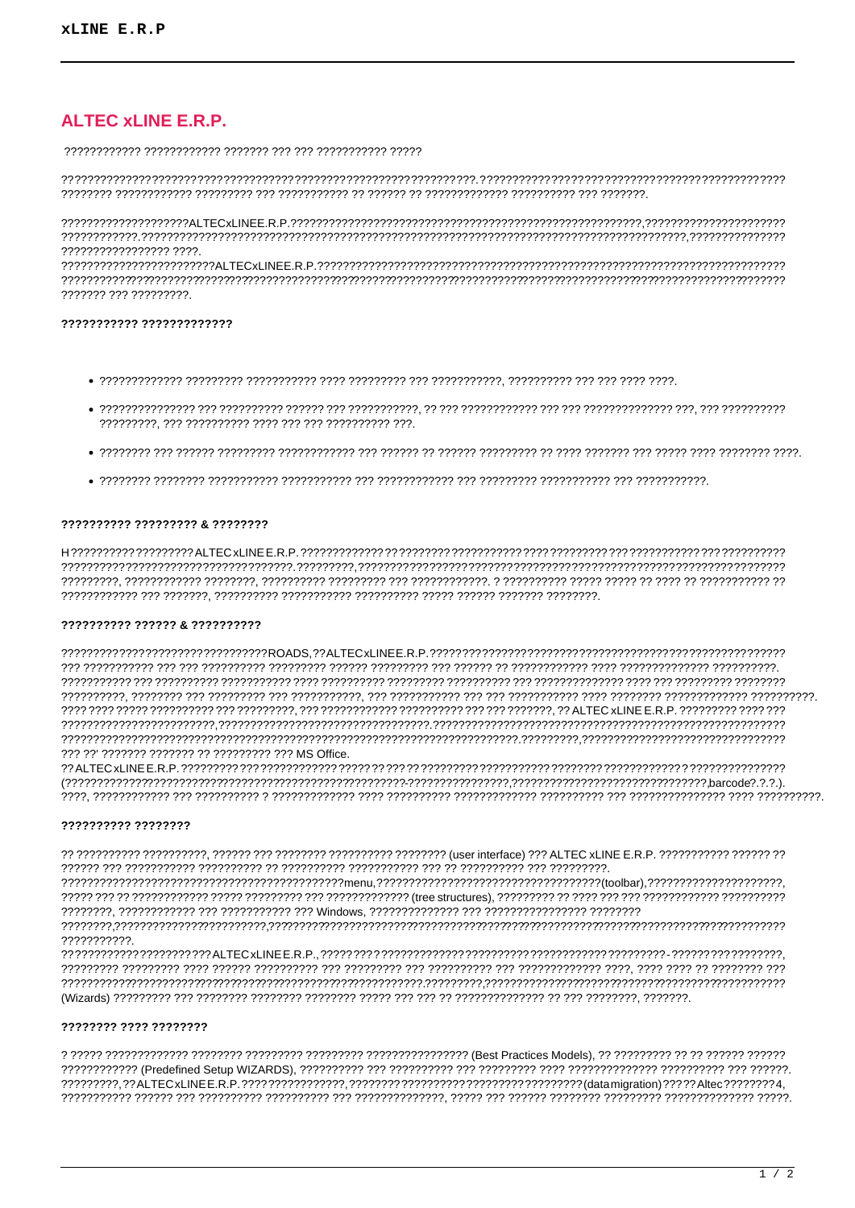# **ALTEC XLINE E.R.P.**

 $222222222222222222222$ 

7777777 777 777777777

## ??????????? ?????????????

- 
- 
- 
- 

## ?????????? ????????? & ????????

#### 2222222222 222222 & 2222222222

??? ??' ??????? ??????? ?? ????????? ??? MS Office.

## ?????????? ????????

7777777777

####